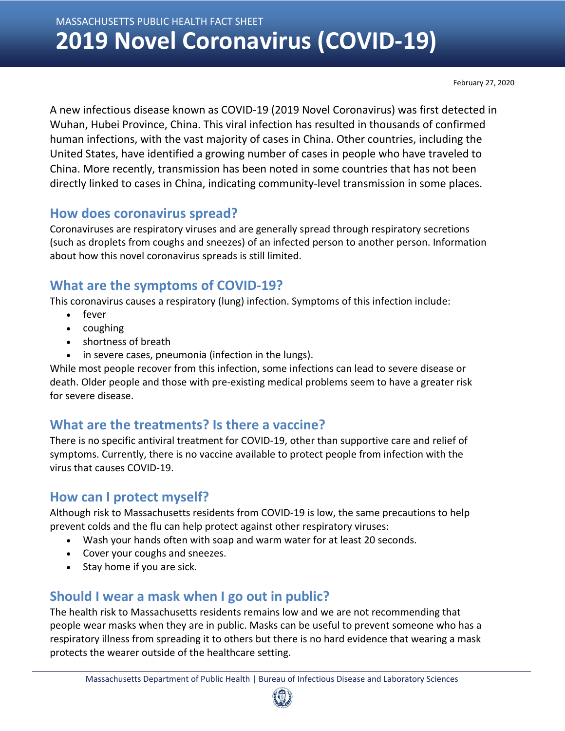MASSACHUSETTS PUBLIC HEALTH FACT SHEET **2019 Novel Coronavirus (COVID-19)**

February 27, 2020

A new infectious disease known as COVID-19 (2019 Novel Coronavirus) was first detected in Wuhan, Hubei Province, China. This viral infection has resulted in thousands of confirmed human infections, with the vast majority of cases in China. Other countries, including the United States, have identified a growing number of cases in people who have traveled to China. More recently, transmission has been noted in some countries that has not been directly linked to cases in China, indicating community-level transmission in some places.

#### **How does coronavirus spread?**

Coronaviruses are respiratory viruses and are generally spread through respiratory secretions (such as droplets from coughs and sneezes) of an infected person to another person. Information about how this novel coronavirus spreads is still limited.

# **What are the symptoms of COVID-19?**

This coronavirus causes a respiratory (lung) infection. Symptoms of this infection include:

- fever
- coughing
- shortness of breath
- in severe cases, pneumonia (infection in the lungs).

While most people recover from this infection, some infections can lead to severe disease or death. Older people and those with pre-existing medical problems seem to have a greater risk for severe disease.

# **What are the treatments? Is there a vaccine?**

There is no specific antiviral treatment for COVID-19, other than supportive care and relief of symptoms. Currently, there is no vaccine available to protect people from infection with the virus that causes COVID-19.

### **How can I protect myself?**

Although risk to Massachusetts residents from COVID-19 is low, the same precautions to help prevent colds and the flu can help protect against other respiratory viruses:

- Wash your hands often with soap and warm water for at least 20 seconds.
- Cover your coughs and sneezes.
- Stay home if you are sick.

# **Should I wear a mask when I go out in public?**

The health risk to Massachusetts residents remains low and we are not recommending that people wear masks when they are in public. Masks can be useful to prevent someone who has a respiratory illness from spreading it to others but there is no hard evidence that wearing a mask protects the wearer outside of the healthcare setting.